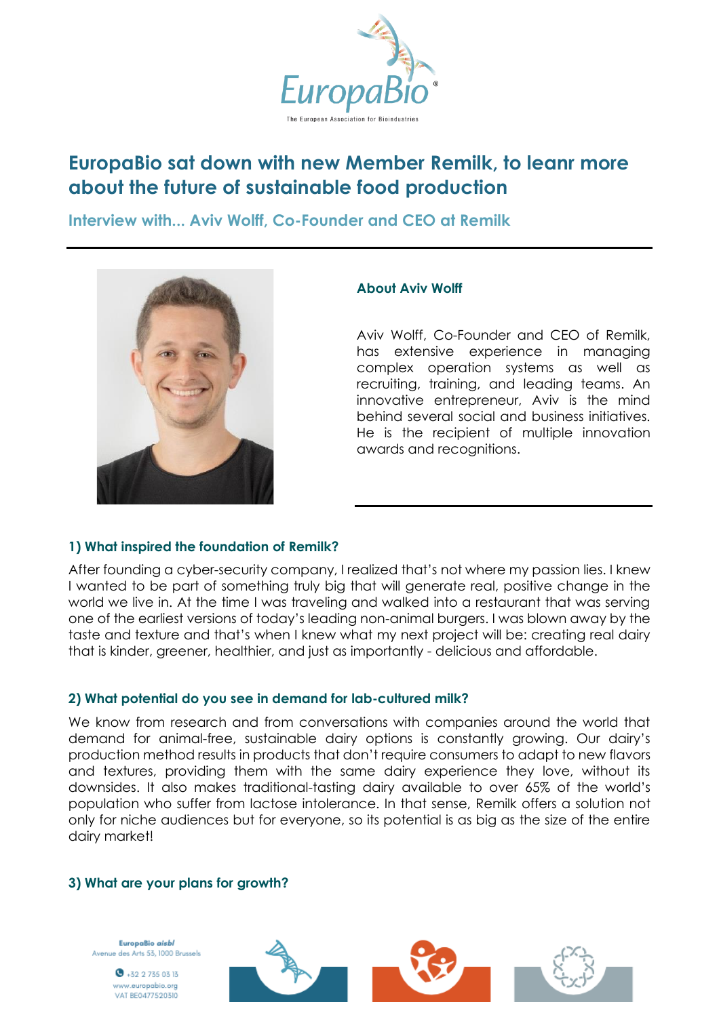

# **EuropaBio sat down with new Member Remilk, to leanr more about the future of sustainable food production**

**Interview with... Aviv Wolff, Co-Founder and CEO at Remilk**



#### **About Aviv Wolff**

Aviv Wolff, Co-Founder and CEO of Remilk, has extensive experience in managing complex operation systems as well as recruiting, training, and leading teams. An innovative entrepreneur, Aviv is the mind behind several social and business initiatives. He is the recipient of multiple innovation awards and recognitions.

## **1) What inspired the foundation of Remilk?**

After founding a cyber-security company, I realized that's not where my passion lies. I knew I wanted to be part of something truly big that will generate real, positive change in the world we live in. At the time I was traveling and walked into a restaurant that was serving one of the earliest versions of today's leading non-animal burgers. I was blown away by the taste and texture and that's when I knew what my next project will be: creating real dairy that is kinder, greener, healthier, and just as importantly - delicious and affordable.

#### **2) What potential do you see in demand for lab-cultured milk?**

We know from research and from conversations with companies around the world that demand for animal-free, sustainable dairy options is constantly growing. Our dairy's production method results in products that don't require consumers to adapt to new flavors and textures, providing them with the same dairy experience they love, without its downsides. It also makes traditional-tasting dairy available to over 65% of the world's population who suffer from lactose intolerance. In that sense, Remilk offers a solution not only for niche audiences but for everyone, so its potential is as big as the size of the entire dairy market!

#### **3) What are your plans for growth?**

EuropaBio aisbl Avenue des Arts 53, 1000 Brussels

> $\bullet$  +32 2 735 03 13 ww.europabio.org VAT BE0477520310